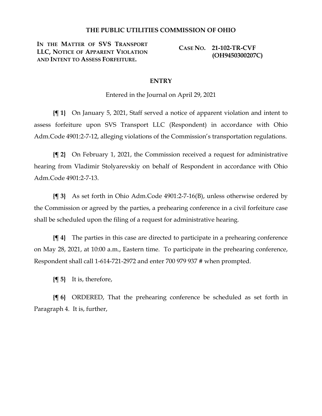## **THE PUBLIC UTILITIES COMMISSION OF OHIO**

**IN THE MATTER OF SVS TRANSPORT LLC, NOTICE OF APPARENT VIOLATION AND INTENT TO ASSESS FORFEITURE.**

**CASE NO. 21-102-TR-CVF (OH9450300207C)**

## **ENTRY**

Entered in the Journal on April 29, 2021

**{¶ 1}** On January 5, 2021, Staff served a notice of apparent violation and intent to assess forfeiture upon SVS Transport LLC (Respondent) in accordance with Ohio Adm.Code 4901:2-7-12, alleging violations of the Commission's transportation regulations.

**{¶ 2}** On February 1, 2021, the Commission received a request for administrative hearing from Vladimir Stolyarevskiy on behalf of Respondent in accordance with Ohio Adm.Code 4901:2-7-13.

**{¶ 3}** As set forth in Ohio Adm.Code 4901:2-7-16(B), unless otherwise ordered by the Commission or agreed by the parties, a prehearing conference in a civil forfeiture case shall be scheduled upon the filing of a request for administrative hearing.

**{¶ 4}** The parties in this case are directed to participate in a prehearing conference on May 28, 2021, at 10:00 a.m., Eastern time. To participate in the prehearing conference, Respondent shall call 1-614-721-2972 and enter 700 979 937 # when prompted.

**{¶ 5}** It is, therefore,

**{¶ 6}** ORDERED, That the prehearing conference be scheduled as set forth in Paragraph 4. It is, further,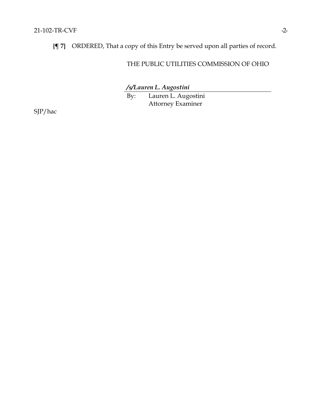**{¶ 7}** ORDERED, That a copy of this Entry be served upon all parties of record.

## THE PUBLIC UTILITIES COMMISSION OF OHIO

*/s/Lauren L. Augostini*

By: Lauren L. Augostini Attorney Examiner

SJP/hac